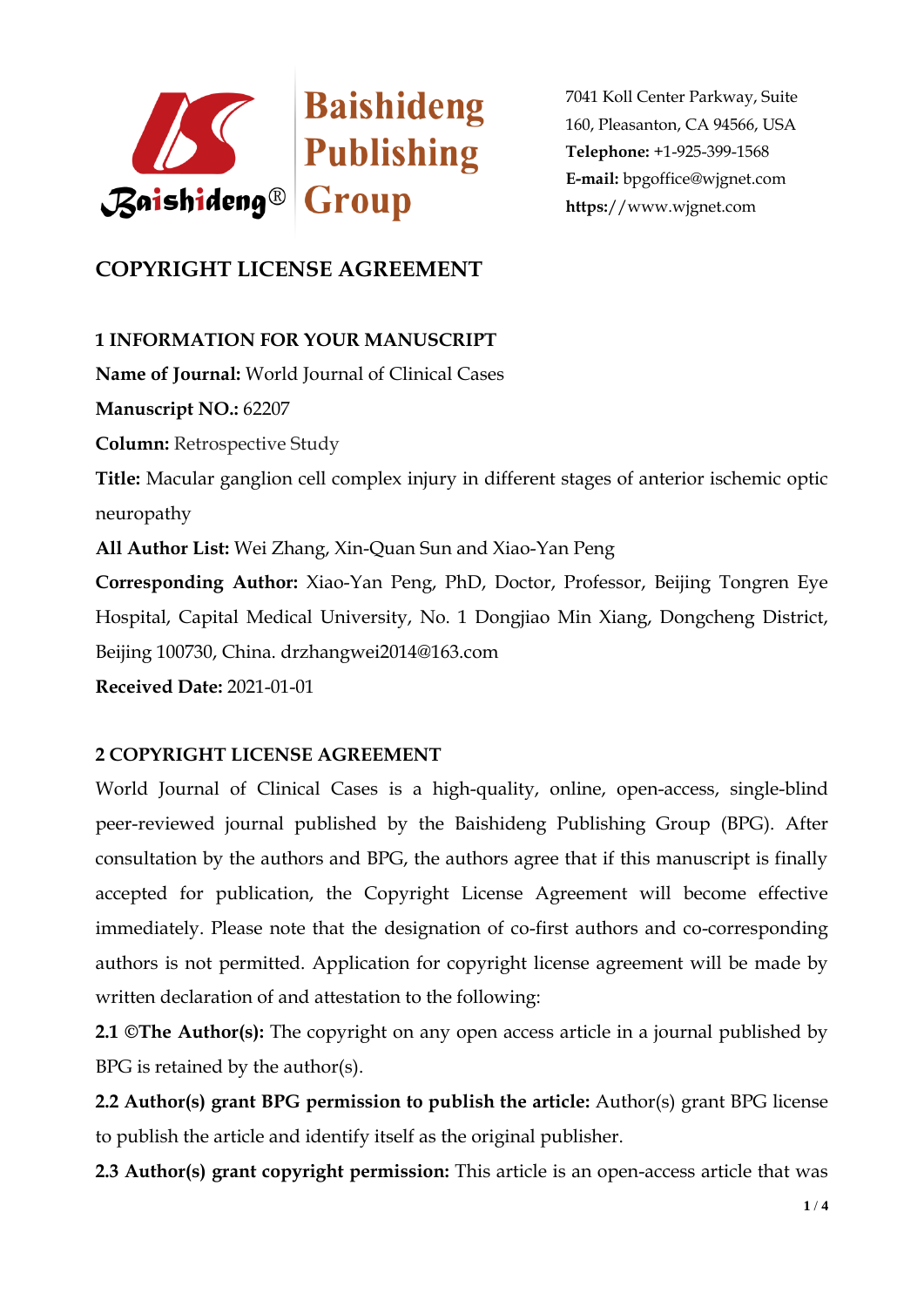

# **COPYRIGHT LICENSE AGREEMENT**

## **1 INFORMATION FOR YOUR MANUSCRIPT**

**Name of Journal:** World Journal of Clinical Cases **Manuscript NO.:** 62207 **Column:** Retrospective Study **Title:** Macular ganglion cell complex injury in different stages of anterior ischemic optic neuropathy **All Author List:** Wei Zhang, Xin-Quan Sun and Xiao-Yan Peng **Corresponding Author:** Xiao-Yan Peng, PhD, Doctor, Professor, Beijing Tongren Eye Hospital, Capital Medical University, No. 1 Dongjiao Min Xiang, Dongcheng District, Beijing 100730, China. drzhangwei2014@163.com **Received Date:** 2021-01-01

### **2 COPYRIGHT LICENSE AGREEMENT**

World Journal of Clinical Cases is a high-quality, online, open-access, single-blind peer-reviewed journal published by the Baishideng Publishing Group (BPG). After consultation by the authors and BPG, the authors agree that if this manuscript is finally accepted for publication, the Copyright License Agreement will become effective immediately. Please note that the designation of co-first authors and co-corresponding authors is not permitted. Application for copyright license agreement will be made by written declaration of and attestation to the following:

**2.1 ©The Author(s):** The copyright on any open access article in a journal published by BPG is retained by the author(s).

**2.2 Author(s) grant BPG permission to publish the article:** Author(s) grant BPG license to publish the article and identify itself as the original publisher.

**2.3 Author(s) grant copyright permission:** This article is an open-access article that was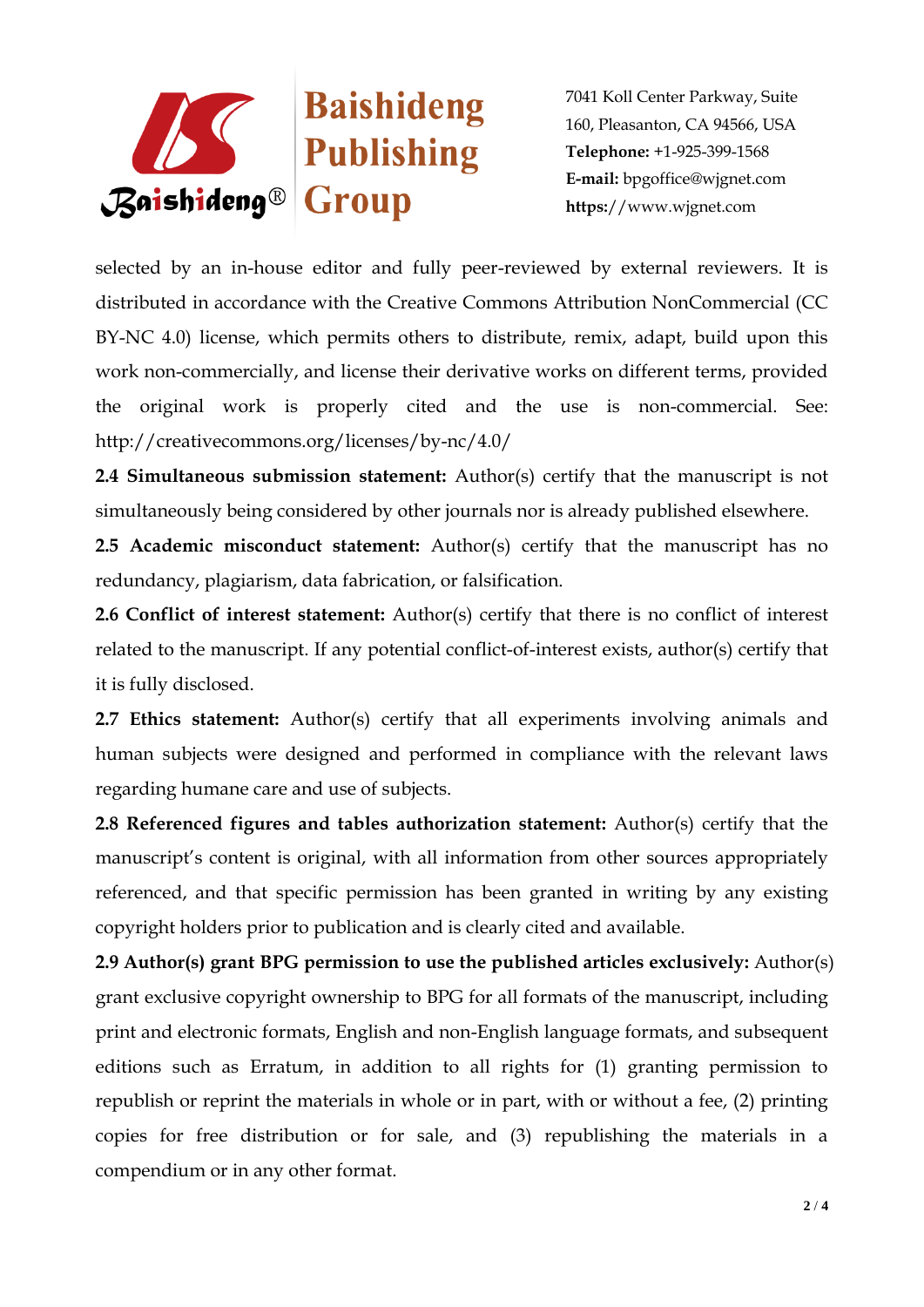

selected by an in-house editor and fully peer-reviewed by external reviewers. It is distributed in accordance with the Creative Commons Attribution NonCommercial (CC BY-NC 4.0) license, which permits others to distribute, remix, adapt, build upon this work non-commercially, and license their derivative works on different terms, provided the original work is properly cited and the use is non-commercial. See: http://creativecommons.org/licenses/by-nc/4.0/

**2.4 Simultaneous submission statement:** Author(s) certify that the manuscript is not simultaneously being considered by other journals nor is already published elsewhere.

**2.5 Academic misconduct statement:** Author(s) certify that the manuscript has no redundancy, plagiarism, data fabrication, or falsification.

**2.6 Conflict of interest statement:** Author(s) certify that there is no conflict of interest related to the manuscript. If any potential conflict-of-interest exists, author(s) certify that it is fully disclosed.

**2.7 Ethics statement:** Author(s) certify that all experiments involving animals and human subjects were designed and performed in compliance with the relevant laws regarding humane care and use of subjects.

**2.8 Referenced figures and tables authorization statement:** Author(s) certify that the manuscript's content is original, with all information from other sources appropriately referenced, and that specific permission has been granted in writing by any existing copyright holders prior to publication and is clearly cited and available.

**2.9 Author(s) grant BPG permission to use the published articles exclusively:** Author(s) grant exclusive copyright ownership to BPG for all formats of the manuscript, including print and electronic formats, English and non-English language formats, and subsequent editions such as Erratum, in addition to all rights for (1) granting permission to republish or reprint the materials in whole or in part, with or without a fee, (2) printing copies for free distribution or for sale, and (3) republishing the materials in a compendium or in any other format.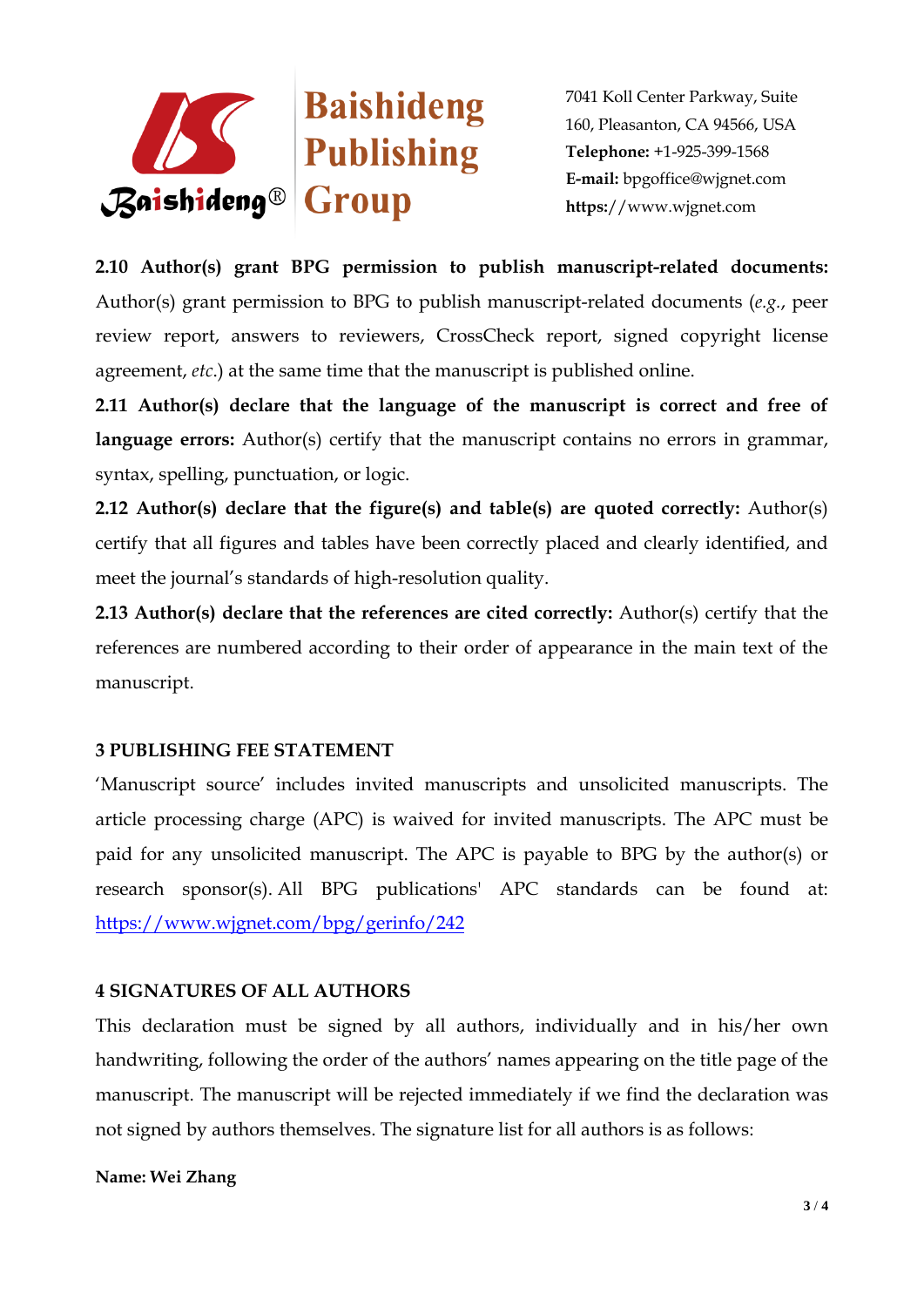

**2.10 Author(s) grant BPG permission to publish manuscript-related documents:**  Author(s) grant permission to BPG to publish manuscript-related documents (*e.g.*, peer review report, answers to reviewers, CrossCheck report, signed copyright license agreement, *etc*.) at the same time that the manuscript is published online.

**2.11 Author(s) declare that the language of the manuscript is correct and free of**  language errors: Author(s) certify that the manuscript contains no errors in grammar, syntax, spelling, punctuation, or logic.

**2.12 Author(s) declare that the figure(s) and table(s) are quoted correctly:** Author(s) certify that all figures and tables have been correctly placed and clearly identified, and meet the journal's standards of high-resolution quality.

**2.13 Author(s) declare that the references are cited correctly:** Author(s) certify that the references are numbered according to their order of appearance in the main text of the manuscript.

### **3 PUBLISHING FEE STATEMENT**

'Manuscript source' includes invited manuscripts and unsolicited manuscripts. The article processing charge (APC) is waived for invited manuscripts. The APC must be paid for any unsolicited manuscript. The APC is payable to BPG by the author(s) or research sponsor(s). All BPG publications' APC standards can be found at: <https://www.wjgnet.com/bpg/gerinfo/242>

### **4 SIGNATURES OF ALL AUTHORS**

This declaration must be signed by all authors, individually and in his/her own handwriting, following the order of the authors' names appearing on the title page of the manuscript. The manuscript will be rejected immediately if we find the declaration was not signed by authors themselves. The signature list for all authors is as follows:

#### **Name: Wei Zhang**